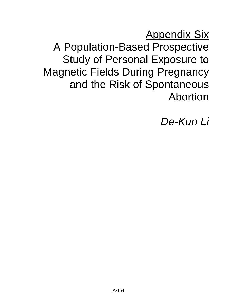**Appendix Six** A Population-Based Prospective Study of Personal Exposure to Magnetic Fields During Pregnancy and the Risk of Spontaneous Abortion

De-Kun Li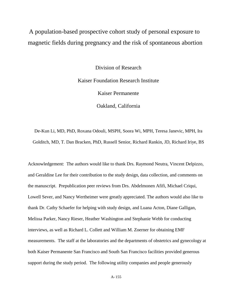A population-based prospective cohort study of personal exposure to magnetic fields during pregnancy and the risk of spontaneous abortion

> Division of Research Kaiser Foundation Research Institute Kaiser Permanente Oakland, California

De-Kun Li, MD, PhD, Roxana Odouli, MSPH, Soora Wi, MPH, Teresa Janevic, MPH, Ira Golditch, MD, T. Dan Bracken, PhD, Russell Senior, Richard Rankin, JD, Richard Iriye, BS

Acknowledgement: The authors would like to thank Drs. Raymond Neutra, Vincent Delpizzo, and Geraldine Lee for their contribution to the study design, data collection, and comments on the manuscript. Prepublication peer reviews from Drs. Abdelmonen Afifi, Michael Criqui, Lowell Sever, and Nancy Wertheimer were greatly appreciated. The authors would also like to thank Dr. Cathy Schaefer for helping with study design, and Luana Acton, Diane Galligan, Melissa Parker, Nancy Rieser, Heather Washington and Stephanie Webb for conducting interviews, as well as Richard L. Collett and William M. Zoerner for obtaining EMF measurements. The staff at the laboratories and the departments of obstetrics and gynecology at both Kaiser Permanente San Francisco and South San Francisco facilities provided generous support during the study period. The following utility companies and people generously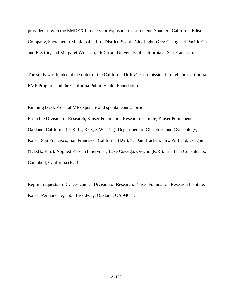provided us with the EMDEX II meters for exposure measurement: Southern California Edison Company, Sacramento Municipal Utility District, Seattle City Light, Greg Chang and Pacific Gas and Electric, and Margaret Wrensch, PhD from University of California at San Francisco.

The study was funded at the order of the California Utility's Commission through the California EMF Program and the California Public Health Foundation.

Running head: Prenatal MF exposure and spontaneous abortion From the Division of Research, Kaiser Foundation Research Institute, Kaiser Permanente, Oakland, California (D-K. L., R.O., S.W., T.J.), Department of Obstetrics and Gynecology, Kaiser San Francisco, San Francisco, California (I.G.), T. Dan Bracken, Inc., Portland, Oregon (T.D.B., R.S.), Applied Research Services, Lake Oswego, Oregon (R.R.), Enertech Consultants, Campbell, California (R.I.)

Reprint requests to Dr. De-Kun Li, Division of Research, Kaiser Foundation Research Institute, Kaiser Permanente, 3505 Broadway, Oakland, CA 94611.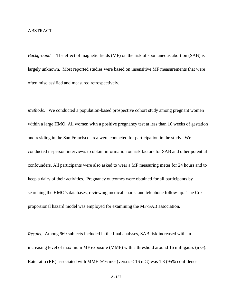### ABSTRACT

*Background.* The effect of magnetic fields (MF) on the risk of spontaneous abortion (SAB) is largely unknown. Most reported studies were based on insensitive MF measurements that were often misclassified and measured retrospectively.

*Methods.* We conducted a population-based prospective cohort study among pregnant women within a large HMO. All women with a positive pregnancy test at less than 10 weeks of gestation and residing in the San Francisco area were contacted for participation in the study. We conducted in-person interviews to obtain information on risk factors for SAB and other potential confounders. All participants were also asked to wear a MF measuring meter for 24 hours and to keep a dairy of their activities. Pregnancy outcomes were obtained for all participants by searching the HMO's databases, reviewing medical charts, and telephone follow-up. The Cox proportional hazard model was employed for examining the MF-SAB association.

*Results.* Among 969 subjects included in the final analyses, SAB risk increased with an increasing level of maximum MF exposure (MMF) with a threshold around 16 milligauss (mG): Rate ratio (RR) associated with MMF  $\geq$  16 mG (versus < 16 mG) was 1.8 (95% confidence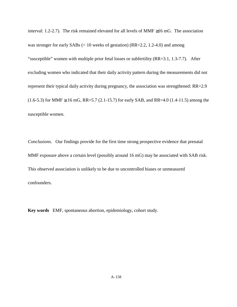interval: 1.2-2.7). The risk remained elevated for all levels of MMF ≥16 mG. The association was stronger for early SABs (< 10 weeks of gestation) (RR=2.2, 1.2-4.0) and among "susceptible" women with multiple prior fetal losses or subfertility (RR=3.1, 1.3-7.7). After excluding women who indicated that their daily activity pattern during the measurements did not represent their typical daily activity during pregnancy, the association was strengthened: RR=2.9  $(1.6-5.3)$  for MMF  $\geq 16$  mG, RR=5.7 (2.1-15.7) for early SAB, and RR=4.0 (1.4-11.5) among the susceptible women.

*Conclusions.* Our findings provide for the first time strong prospective evidence that prenatal MMF exposure above a certain level (possibly around 16 mG) may be associated with SAB risk. This observed association is unlikely to be due to uncontrolled biases or unmeasured confounders.

**Key words** EMF, spontaneous abortion, epidemiology, cohort study.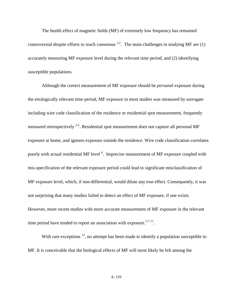The health effect of magnetic fields (MF) of extremely low frequency has remained controversial despite efforts to reach consensus  $^{1,2}$ . The main challenges in studying MF are (1) accurately measuring MF exposure level during the relevant time period, and (2) identifying susceptible populations.

Although the correct measurement of MF exposure should be *personal* exposure during the etiologically relevant time period, MF exposure in most studies was measured by surrogate including wire code classification of the residence or residential spot measurement, frequently measured retrospectively  $3-5$ . Residential spot measurement does not capture all personal MF exposure at home, and ignores exposure outside the residence. Wire code classification correlates poorly with actual residential MF level <sup>6</sup>. Imprecise measurement of MF exposure coupled with mis-specification of the relevant exposure period could lead to significant misclassification of MF exposure level, which, if non-differential, would dilute any true effect. Consequently, it was not surprising that many studies failed to detect an effect of MF exposure, if one exists. However, more recent studies with more accurate measurement of MF exposure in the relevant time period have tended to report an association with exposure.<sup>5,7-11</sup>.

With rare exceptions  $12$ , no attempt has been made to identify a population susceptible to MF. It is conceivable that the biological effects of MF will most likely be felt among the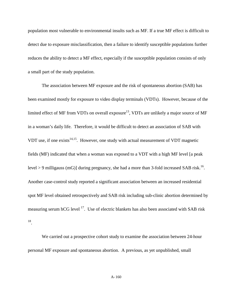population most vulnerable to environmental insults such as MF. If a true MF effect is difficult to detect due to exposure misclassification, then a failure to identify susceptible populations further reduces the ability to detect a MF effect, especially if the susceptible population consists of only a small part of the study population.

The association between MF exposure and the risk of spontaneous abortion (SAB) has been examined mostly for exposure to video display terminals (VDTs). However, because of the limited effect of MF from VDTs on overall exposure<sup>13</sup>, VDTs are unlikely a major source of MF in a woman's daily life. Therefore, it would be difficult to detect an association of SAB with VDT use, if one exists $14,15$ . However, one study with actual measurement of VDT magnetic fields (MF) indicated that when a woman was exposed to a VDT with a high MF level [a peak level > 9 milligauss (mG)] during pregnancy, she had a more than 3-fold increased SAB risk.<sup>16</sup>. Another case-control study reported a significant association between an increased residential spot MF level obtained retrospectively and SAB risk including sub-clinic abortion determined by measuring serum hCG level <sup>17</sup>. Use of electric blankets has also been associated with SAB risk 18.

We carried out a prospective cohort study to examine the association between 24-hour personal MF exposure and spontaneous abortion. A previous, as yet unpublished, small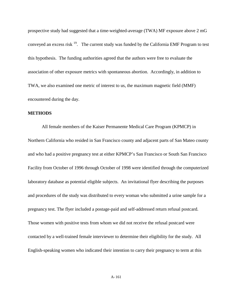prospective study had suggested that a time-weighted-average (TWA) MF exposure above 2 mG conveyed an excess risk 19. The current study was funded by the California EMF Program to test this hypothesis. The funding authorities agreed that the authors were free to evaluate the association of other exposure metrics with spontaneous abortion. Accordingly, in addition to TWA, we also examined one metric of interest to us, the maximum magnetic field (MMF) encountered during the day.

## **METHODS**

All female members of the Kaiser Permanente Medical Care Program (KPMCP) in Northern California who resided in San Francisco county and adjacent parts of San Mateo county and who had a positive pregnancy test at either KPMCP's San Francisco or South San Francisco Facility from October of 1996 through October of 1998 were identified through the computerized laboratory database as potential eligible subjects. An invitational flyer describing the purposes and procedures of the study was distributed to every woman who submitted a urine sample for a pregnancy test. The flyer included a postage-paid and self-addressed return refusal postcard. Those women with positive tests from whom we did not receive the refusal postcard were contacted by a well-trained female interviewer to determine their eligibility for the study. All English-speaking women who indicated their intention to carry their pregnancy to term at this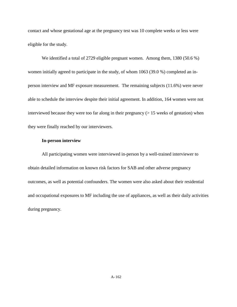contact and whose gestational age at the pregnancy test was 10 complete weeks or less were eligible for the study.

We identified a total of 2729 eligible pregnant women. Among them, 1380 (50.6 %) women initially agreed to participate in the study, of whom 1063 (39.0 %) completed an inperson interview and MF exposure measurement. The remaining subjects (11.6%) were never able to schedule the interview despite their initial agreement. In addition, 164 women were not interviewed because they were too far along in their pregnancy  $($  > 15 weeks of gestation) when they were finally reached by our interviewers.

# **In-person interview**

All participating women were interviewed in-person by a well-trained interviewer to obtain detailed information on known risk factors for SAB and other adverse pregnancy outcomes, as well as potential confounders. The women were also asked about their residential and occupational exposures to MF including the use of appliances, as well as their daily activities during pregnancy.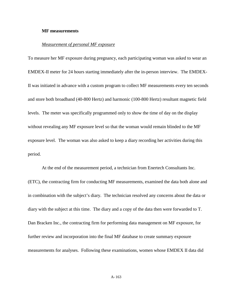#### **MF measurements**

### *Measurement of personal MF exposure*

To measure her MF exposure during pregnancy, each participating woman was asked to wear an EMDEX-II meter for 24 hours starting immediately after the in-person interview. The EMDEX-II was initiated in advance with a custom program to collect MF measurements every ten seconds and store both broadband (40-800 Hertz) and harmonic (100-800 Hertz) resultant magnetic field levels. The meter was specifically programmed only to show the time of day on the display without revealing any MF exposure level so that the woman would remain blinded to the MF exposure level. The woman was also asked to keep a diary recording her activities during this period.

At the end of the measurement period, a technician from Enertech Consultants Inc. (ETC), the contracting firm for conducting MF measurements, examined the data both alone and in combination with the subject's diary. The technician resolved any concerns about the data or diary with the subject at this time. The diary and a copy of the data then were forwarded to T. Dan Bracken Inc., the contracting firm for performing data management on MF exposure, for further review and incorporation into the final MF database to create summary exposure measurements for analyses. Following these examinations, women whose EMDEX II data did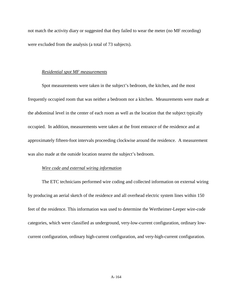not match the activity diary or suggested that they failed to wear the meter (no MF recording) were excluded from the analysis (a total of 73 subjects).

### *Residential spot MF measurements*

Spot measurements were taken in the subject's bedroom, the kitchen, and the most frequently occupied room that was neither a bedroom nor a kitchen. Measurements were made at the abdominal level in the center of each room as well as the location that the subject typically occupied. In addition, measurements were taken at the front entrance of the residence and at approximately fifteen-foot intervals proceeding clockwise around the residence. A measurement was also made at the outside location nearest the subject's bedroom.

## *Wire code and external wiring information*

The ETC technicians performed wire coding and collected information on external wiring by producing an aerial sketch of the residence and all overhead electric system lines within 150 feet of the residence. This information was used to determine the Wertheimer-Leeper wire-code categories, which were classified as underground, very-low-current configuration, ordinary lowcurrent configuration, ordinary high-current configuration, and very-high-current configuration.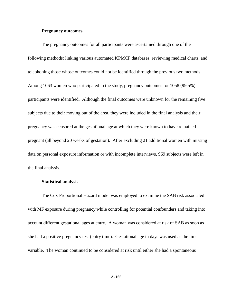### **Pregnancy outcomes**

The pregnancy outcomes for all participants were ascertained through one of the following methods: linking various automated KPMCP databases, reviewing medical charts, and telephoning those whose outcomes could not be identified through the previous two methods. Among 1063 women who participated in the study, pregnancy outcomes for 1058 (99.5%) participants were identified. Although the final outcomes were unknown for the remaining five subjects due to their moving out of the area, they were included in the final analysis and their pregnancy was censored at the gestational age at which they were known to have remained pregnant (all beyond 20 weeks of gestation). After excluding 21 additional women with missing data on personal exposure information or with incomplete interviews, 969 subjects were left in the final analysis.

### **Statistical analysis**

The Cox Proportional Hazard model was employed to examine the SAB risk associated with MF exposure during pregnancy while controlling for potential confounders and taking into account different gestational ages at entry. A woman was considered at risk of SAB as soon as she had a positive pregnancy test (entry time). Gestational age in days was used as the time variable. The woman continued to be considered at risk until either she had a spontaneous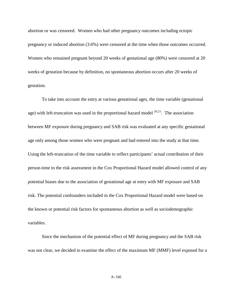abortion or was censored. Women who had other pregnancy outcomes including ectopic pregnancy or induced abortion (3.6%) were censored at the time when those outcomes occurred. Women who remained pregnant beyond 20 weeks of gestational age (80%) were censored at 20 weeks of gestation because by definition, no spontaneous abortion occurs after 20 weeks of gestation.

To take into account the entry at various gestational ages, the time variable (gestational age) with left-truncation was used in the proportional hazard model  $20,21$ . The association between MF exposure during pregnancy and SAB risk was evaluated at any specific gestational age only among those women who were pregnant and had entered into the study at that time. Using the left-truncation of the time variable to reflect participants' actual contribution of their person-time to the risk assessment in the Cox Proportional Hazard model allowed control of any potential biases due to the association of gestational age at entry with MF exposure and SAB risk. The potential confounders included in the Cox Proportional Hazard model were based on the known or potential risk factors for spontaneous abortion as well as sociodemographic variables.

Since the mechanism of the potential effect of MF during pregnancy and the SAB risk was not clear, we decided to examine the effect of the maximum MF (MMF) level exposed for a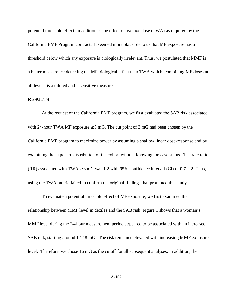potential threshold effect, in addition to the effect of average dose (TWA) as required by the California EMF Program contract. It seemed more plausible to us that MF exposure has a threshold below which any exposure is biologically irrelevant. Thus, we postulated that MMF is a better measure for detecting the MF biological effect than TWA which, combining MF doses at all levels, is a diluted and insensitive measure.

#### **RESULTS**

At the request of the California EMF program, we first evaluated the SAB risk associated with 24-hour TWA MF exposure  $\geq 3$  mG. The cut point of 3 mG had been chosen by the California EMF program to maximize power by assuming a shallow linear dose-response and by examining the exposure distribution of the cohort without knowing the case status. The rate ratio (RR) associated with TWA  $\geq$  3 mG was 1.2 with 95% confidence interval (CI) of 0.7-2.2. Thus, using the TWA metric failed to confirm the original findings that prompted this study.

To evaluate a potential threshold effect of MF exposure, we first examined the relationship between MMF level in deciles and the SAB risk. Figure 1 shows that a woman's MMF level during the 24-hour measurement period appeared to be associated with an increased SAB risk, starting around 12-18 mG. The risk remained elevated with increasing MMF exposure level. Therefore, we chose 16 mG as the cutoff for all subsequent analyses. In addition, the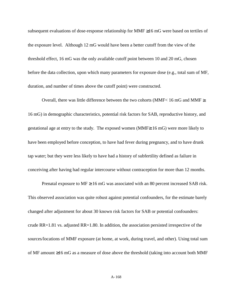subsequent evaluations of dose-response relationship for MMF ≥16 mG were based on tertiles of the exposure level. Although 12 mG would have been a better cutoff from the view of the threshold effect, 16 mG was the only available cutoff point between 10 and 20 mG, chosen before the data collection, upon which many parameters for exposure dose (e.g., total sum of MF, duration, and number of times above the cutoff point) were constructed.

Overall, there was little difference between the two cohorts (MMF< 16 mG and MMF $\geq$ 16 mG) in demographic characteristics, potential risk factors for SAB, reproductive history, and gestational age at entry to the study. The exposed women (MMF≥ 16 mG) were more likely to have been employed before conception, to have had fever during pregnancy, and to have drunk tap water; but they were less likely to have had a history of subfertility defined as failure in conceiving after having had regular intercourse without contraception for more than 12 months.

Prenatal exposure to  $MF \ge 16$  mG was associated with an 80 percent increased SAB risk. This observed association was quite robust against potential confounders, for the estimate barely changed after adjustment for about 30 known risk factors for SAB or potential confounders: crude RR=1.81 vs. adjusted RR=1.80. In addition, the association persisted irrespective of the sources/locations of MMF exposure (at home, at work, during travel, and other). Using total sum of MF amount ≥16 mG as a measure of dose above the threshold (taking into account both MMF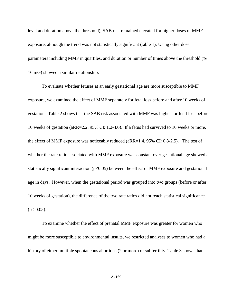level and duration above the threshold), SAB risk remained elevated for higher doses of MMF exposure, although the trend was not statistically significant (table 1). Using other dose parameters including MMF in quartiles, and duration or number of times above the threshold  $(\geq$ 16 mG) showed a similar relationship.

To evaluate whether fetuses at an early gestational age are more susceptible to MMF exposure, we examined the effect of MMF separately for fetal loss before and after 10 weeks of gestation. Table 2 shows that the SAB risk associated with MMF was higher for fetal loss before 10 weeks of gestation (aRR=2.2, 95% CI: 1.2-4.0). If a fetus had survived to 10 weeks or more, the effect of MMF exposure was noticeably reduced (aRR=1.4, 95% CI: 0.8-2.5). The test of whether the rate ratio associated with MMF exposure was constant over gestational age showed a statistically significant interaction  $(p<0.05)$  between the effect of MMF exposure and gestational age in days. However, when the gestational period was grouped into two groups (before or after 10 weeks of gestation), the difference of the two rate ratios did not reach statistical significance  $(p > 0.05)$ .

To examine whether the effect of prenatal MMF exposure was greater for women who might be more susceptible to environmental insults, we restricted analyses to women who had a history of either multiple spontaneous abortions (2 or more) or subfertility. Table 3 shows that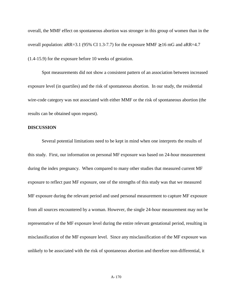overall, the MMF effect on spontaneous abortion was stronger in this group of women than in the overall population: aRR=3.1 (95% CI 1.3-7.7) for the exposure MMF  $\geq 16$  mG and aRR=4.7 (1.4-15.9) for the exposure before 10 weeks of gestation.

Spot measurements did not show a consistent pattern of an association between increased exposure level (in quartiles) and the risk of spontaneous abortion. In our study, the residential wire-code category was not associated with either MMF or the risk of spontaneous abortion (the results can be obtained upon request).

## **DISCUSSION**

Several potential limitations need to be kept in mind when one interprets the results of this study. First, our information on personal MF exposure was based on 24-hour measurement during the index pregnancy. When compared to many other studies that measured current MF exposure to reflect past MF exposure, one of the strengths of this study was that we measured MF exposure during the relevant period and used personal measurement to capture MF exposure from all sources encountered by a woman. However, the single 24-hour measurement may not be representative of the MF exposure level during the entire relevant gestational period, resulting in misclassification of the MF exposure level. Since any misclassification of the MF exposure was unlikely to be associated with the risk of spontaneous abortion and therefore non-differential, it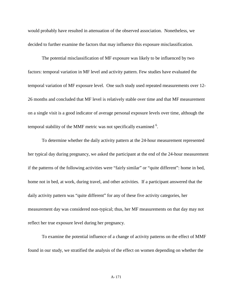would probably have resulted in attenuation of the observed association. Nonetheless, we decided to further examine the factors that may influence this exposure misclassification.

The potential misclassification of MF exposure was likely to be influenced by two factors: temporal variation in MF level and activity pattern. Few studies have evaluated the temporal variation of MF exposure level. One such study used repeated measurements over 12- 26 months and concluded that MF level is relatively stable over time and that MF measurement on a single visit is a good indicator of average personal exposure levels over time, although the temporal stability of the MMF metric was not specifically examined <sup>6</sup>.

To determine whether the daily activity pattern at the 24-hour measurement represented her typical day during pregnancy, we asked the participant at the end of the 24-hour measurement if the patterns of the following activities were "fairly similar" or "quite different": home in bed, home not in bed, at work, during travel, and other activities. If a participant answered that the daily activity pattern was "quite different" for any of these five activity categories, her measurement day was considered non-typical; thus, her MF measurements on that day may not reflect her true exposure level during her pregnancy.

To examine the potential influence of a change of activity patterns on the effect of MMF found in our study, we stratified the analysis of the effect on women depending on whether the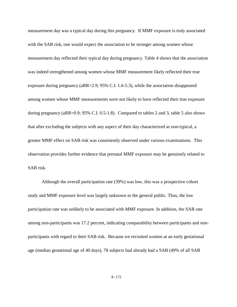measurement day was a typical day during this pregnancy. If MMF exposure is truly associated with the SAB risk, one would expect the association to be stronger among women whose measurement day reflected their typical day during pregnancy. Table 4 shows that the association was indeed strengthened among women whose MMF measurement likely reflected their true exposure during pregnancy (aRR=2.9; 95% C.I. 1.6-5.3), while the association disappeared among women whose MMF measurements were not likely to have reflected their true exposure during pregnancy (aRR=0.9; 95% C.I. 0.5-1.8). Compared to tables 2 and 3, table 5 also shows that after excluding the subjects with any aspect of their day characterized as non-typical, a greater MMF effect on SAB risk was consistently observed under various examinations. This observation provides further evidence that prenatal MMF exposure may be genuinely related to SAB risk.

Although the overall participation rate (39%) was low, this was a prospective cohort study and MMF exposure level was largely unknown to the general public. Thus, the low participation rate was unlikely to be associated with MMF exposure. In addition, the SAB rate among non-participants was 17.2 percent, indicating comparability between participants and nonparticipants with regard to their SAB risk. Because we recruited women at an early gestational age (median gestational age of 40 days), 78 subjects had already had a SAB (49% of all SAB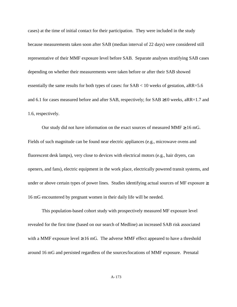cases) at the time of initial contact for their participation. They were included in the study because measurements taken soon after SAB (median interval of 22 days) were considered still representative of their MMF exposure level before SAB. Separate analyses stratifying SAB cases depending on whether their measurements were taken before or after their SAB showed essentially the same results for both types of cases: for SAB < 10 weeks of gestation, aRR=5.6 and 6.1 for cases measured before and after SAB, respectively; for SAB  $\geq$ 10 weeks, aRR=1.7 and 1.6, respectively.

Our study did not have information on the exact sources of measured MMF  $\geq 16$  mG. Fields of such magnitude can be found near electric appliances (e.g., microwave ovens and fluorescent desk lamps), very close to devices with electrical motors (e.g., hair dryers, can openers, and fans), electric equipment in the work place, electrically powered transit systems, and under or above certain types of power lines. Studies identifying actual sources of MF exposure  $\geq$ 16 mG encountered by pregnant women in their daily life will be needed.

 This population-based cohort study with prospectively measured MF exposure level revealed for the first time (based on our search of Medline) an increased SAB risk associated with a MMF exposure level  $\geq 16$  mG. The adverse MMF effect appeared to have a threshold around 16 mG and persisted regardless of the sources/locations of MMF exposure. Prenatal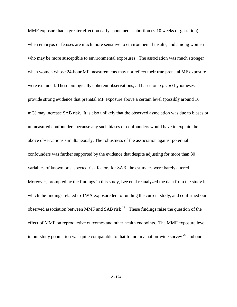MMF exposure had a greater effect on early spontaneous abortion (< 10 weeks of gestation) when embryos or fetuses are much more sensitive to environmental insults, and among women who may be more susceptible to environmental exposures. The association was much stronger when women whose 24-hour MF measurements may not reflect their true prenatal MF exposure were excluded. These biologically coherent observations, all based on *a priori* hypotheses, provide strong evidence that prenatal MF exposure above a certain level (possibly around 16 mG) may increase SAB risk. It is also unlikely that the observed association was due to biases or unmeasured confounders because any such biases or confounders would have to explain the above observations simultaneously. The robustness of the association against potential confounders was further supported by the evidence that despite adjusting for more than 30 variables of known or suspected risk factors for SAB, the estimates were barely altered. Moreover, prompted by the findings in this study, Lee et al reanalyzed the data from the study in which the findings related to TWA exposure led to funding the current study, and confirmed our observed association between MMF and SAB risk  $^{19}$ . These findings raise the question of the effect of MMF on reproductive outcomes and other health endpoints. The MMF exposure level in our study population was quite comparable to that found in a nation-wide survey  $22$  and our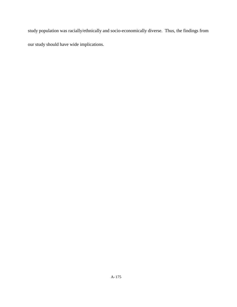study population was racially/ethnically and socio-economically diverse. Thus, the findings from our study should have wide implications.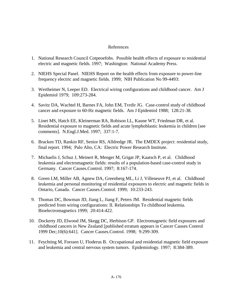# References

- 1. National Research Council Cotpeoefobs. Possible health effects of exposure to residential electric and magnetic fields. 1997; Washington: National Academy Press.
- 2. NIEHS Special Panel. NIEHS Report on the health effects from exposure to power-line frequency electric and magnetic fields. 1999; NIH Publication No 99-4493:
- 3. Wertheimer N, Leeper ED. Electrical wiring configurations and childhood cancer. Am J Epidemiol 1979; 109:273-284.
- 4. Savitz DA, Wachtel H, Barnes FA, John EM, Tvrdir JG. Case-control study of childhood cancer and exposure to 60-Hz magnetic fields. Am J Epidemiol 1988; 128:21-38.
- 5. Linet MS, Hatch EE, Kleinerman RA, Robison LL, Kaune WT, Friedman DR, et al. Residential exposure to magnetic fields and acute lymphoblastic leukemia in children [see comments]. N.Engl.J.Med. 1997; 337:1-7.
- 6. Bracken TD, Rankin RF, Senior RS, Alldredge JR. The EMDEX project: residential study, final report. 1994; Palo Alto, CA: Electric Power Research Institute.
- 7. Michaelis J, Schuz J, Meinert R, Menger M, Grigat JP, Kaatsch P, et al. Childhood leukemia and electromagnetic fields: results of a population-based case-control study in Germany. Cancer Causes.Control. 1997; 8:167-174.
- 8. Green LM, Miller AB, Agnew DA, Greenberg ML, Li J, Villeneuve PJ, et al. Childhood leukemia and personal monitoring of residential exposures to electric and magnetic fields in Ontario, Canada. Cancer Causes.Control. 1999; 10:233-243.
- 9. Thomas DC, Bowman JD, Jiang L, Jiang F, Peters JM. Residential magnetic fields predicted from wiring configurations: II. Relationships To childhood leukemia. Bioelectromagnetics 1999; 20:414-422.
- 10. Dockerty JD, Elwood JM, Skegg DC, Herbison GP. Electromagnetic field exposures and childhood cancers in New Zealand [published erratum appears in Cancer Causes Control 1999 Dec;10(6):641]. Cancer Causes.Control. 1998; 9:299-309.
- 11. Feychting M, Forssen U, Floderus B. Occupational and residential magnetic field exposure and leukemia and central nervous system tumors. Epidemiology. 1997; 8:384-389.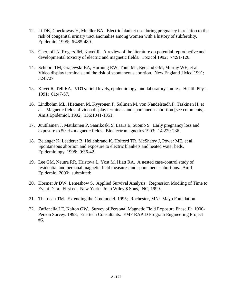- 12. Li DK, Checkoway H, Mueller BA. Electric blanket use during pregnancy in relation to the risk of congenital urinary tract anomalies among women with a history of subfertility. Epidemiol 1995; 6:485-489.
- 13. Chernoff N, Rogers JM, Kavet R. A review of the literature on potential reproductive and developmental toxicity of electric and magnetic fields. Toxicol 1992; 74:91-126.
- 14. Schnorr TM, Grajewski BA, Hornung RW, Thun MJ, Egeland GM, Murray WE, et al. Video display terminals and the risk of spontaneous abortion. New England J Med 1991; 324:727
- 15. Kavet R, Tell RA. VDTs: field levels, epidemiology, and laboratory studies. Health Phys. 1991; 61:47-57.
- 16. Lindbohm ML, Hietanen M, Kyyronen P, Sallmen M, von Nandelstadh P, Taskinen H, et al. Magnetic fields of video display terminals and spontaneous abortion [see comments]. Am.J.Epidemiol. 1992; 136:1041-1051.
- 17. Juutilainen J, Matilainen P, Saarikoski S, Laara E, Suonio S. Early pregnancy loss and exposure to 50-Hz magnetic fields. Bioelectromagnetics 1993; 14:229-236.
- 18. Belanger K, Leaderer B, Hellenbrand K, Holford TR, McSharry J, Power ME, et al. Spontaneous abortion and exposure to electric blankets and heated water beds. Epidemiology. 1998; 9:36-42.
- 19. Lee GM, Neutra RR, Hristova L, Yost M, Hiatt RA. A nested case-control study of residential and personal magnetic field measures and spontaneous abortions. Am J Epidemiol 2000; submitted:
- 20. Hosmer Jr DW, Lemeshow S. Applied Survival Analysis: Regression Modling of Time to Event Data. First ed. New York: John Wiley \$ Sons, INC, 1999.
- 21. Therneau TM. Extending the Cox model. 1995; Rochester, MN: Mayo Foundation.
- 22. Zaffanella LE, Kalton GW. Survey of Personal Magnetic Field Exposure Phase II: 1000- Person Survey. 1998; Enertech Consultants. EMF RAPID Program Engineering Project #6.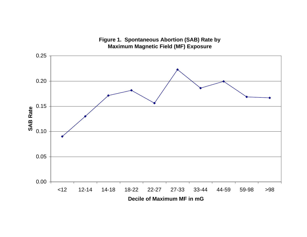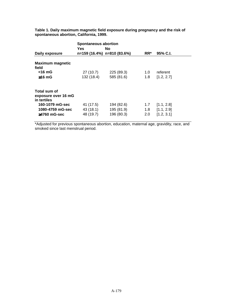|                                    | <b>Spontaneous abortion</b><br>Yes<br>No. |            |     |            |  |  |
|------------------------------------|-------------------------------------------|------------|-----|------------|--|--|
| Daily exposure                     | n=159 (16.4%) n=810 (83.6%)               |            | RR* | 95% C.I.   |  |  |
| <b>Maximum magnetic</b><br>field   |                                           |            |     |            |  |  |
| $<$ 16 mG                          | 27(10.7)                                  | 225 (89.3) | 1.0 | referent   |  |  |
| $≥16$ mG                           | 132 (18.4)                                | 585 (81.6) | 1.8 | [1.2, 2.7] |  |  |
| Total sum of                       |                                           |            |     |            |  |  |
| exposure over 16 mG<br>in tertiles |                                           |            |     |            |  |  |
| 160-1079 mG-sec                    | 41 (17.5)                                 | 194 (82.6) | 1.7 | [1.1, 2.8] |  |  |
| 1080-4759 mG-sec                   | 43 (18.1)                                 | 195 (81.9) | 1.8 | [1.1, 2.9] |  |  |
| $\geq$ 4760 mG-sec                 | 48 (19.7)                                 | 196 (80.3) | 2.0 | [1.2, 3.1] |  |  |

**Table 1. Daily maximum magnetic field exposure during pregnancy and the risk of spontaneous abortion, California, 1999.**

\*Adjusted for previous spontaneous abortion, education, maternal age, gravidity, race, and smoked since last menstrual period.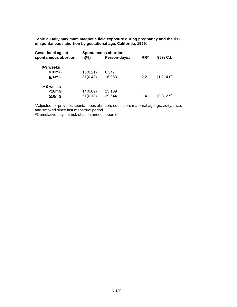**Table 2. Daily maximum magnetic field exposure during pregnancy and the risk of spontaneous abortion by gestational age, California, 1999.**

| $n\frac{6}{6}$ | Person-days# | $RR^*$                      | 95% C.I.   |  |
|----------------|--------------|-----------------------------|------------|--|
|                |              |                             |            |  |
| 13(0.21)       | 6,347        |                             |            |  |
| 81(0.48)       | 16,963       | 2.2                         | [1.2, 4.0] |  |
|                |              |                             |            |  |
| 14(0.09)       | 15,109       |                             |            |  |
| 51(0.13)       | 39,644       | 1.4                         | [0.8, 2.5] |  |
|                |              | <b>Spontaneous abortion</b> |            |  |

\*Adjusted for previous spontaneous abortion, education, maternal age, gravidity, race, and smoked since last menstrual period.

#Cumulative days at risk of spontaneous abortion.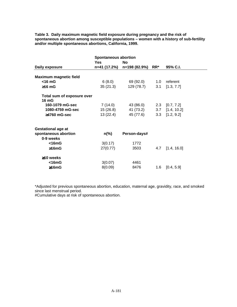**Table 3. Daily maximum magnetic field exposure during pregnancy and the risk of spontaneous abortion among susceptible populations – women with a history of sub-fertility and/or multiple spontaneous abortions, California, 1999.**

|                               | <b>Spontaneous abortion</b> |               |         |                   |
|-------------------------------|-----------------------------|---------------|---------|-------------------|
|                               | Yes                         | No            |         |                   |
| Daily exposure                | n=41 (17.2%)                | n=198 (82.9%) | $RR^*$  | 95% C.I.          |
|                               |                             |               |         |                   |
| <b>Maximum magnetic field</b> |                             |               |         |                   |
| $<$ 16 mG                     | 6(8.0)                      | 69 (92.0)     | 1.0     | referent          |
| $\geq 16$ mG                  | 35(21.3)                    | 129 (78.7)    | 3.1     | [1.3, 7.7]        |
| Total sum of exposure over    |                             |               |         |                   |
| 16 mG                         |                             |               |         |                   |
| 160-1079 mG-sec               | 7(14.0)                     | 43 (86.0)     |         | $2.3$ [0.7, 7.2]  |
| 1080-4759 mG-sec              | 15 (26.8)                   | 41 (73.2)     |         | $3.7$ [1.4, 10.2] |
| $≥4760$ mG-sec                | 13(22.4)                    | 45 (77.6)     |         | $3.3$ [1.2, 9.2]  |
| <b>Gestational age at</b>     |                             |               |         |                   |
| spontaneous abortion          | $n\frac{9}{6}$              | Person-days#  |         |                   |
| 0-9 weeks                     |                             |               |         |                   |
| $<$ 16mG                      | 3(0.17)                     | 1772          |         |                   |
| ≥16mG                         | 27(0.77)                    | 3503          | 4.7     | [1.4, 16.0]       |
| $\geq$ 10 weeks               |                             |               |         |                   |
| $<$ 16mG                      | 3(0.07)                     | 4461          |         |                   |
| ≥16mG                         | 8(0.09)                     | 8476          | $1.6\,$ | [0.4, 5.9]        |

\*Adjusted for previous spontaneous abortion, education, maternal age, gravidity, race, and smoked since last menstrual period.

#Cumulative days at risk of spontaneous abortion.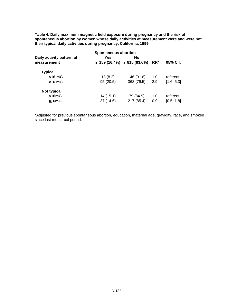**Table 4. Daily maximum magnetic field exposure during pregnancy and the risk of spontaneous abortion by women whose daily activities at measurement were and were not their typical daily activities during pregnancy, California, 1999.**

| <b>Spontaneous abortion</b> |          |                             |        |            |  |  |
|-----------------------------|----------|-----------------------------|--------|------------|--|--|
| Daily activity pattern at   | Yes      | No                          |        |            |  |  |
| measurement                 |          | n=159 (16.4%) n=810 (83.6%) | $RR^*$ | 95% C.I.   |  |  |
| <b>Typical</b>              |          |                             |        |            |  |  |
| $<$ 16 mG                   | 13(8.2)  | 146 (91.8)                  | 1.0    | referent   |  |  |
| $\geq 16$ mG                | 95(20.5) | 368 (79.5)                  | 2.9    | [1.6, 5.3] |  |  |
| Not typical                 |          |                             |        |            |  |  |
| $<$ 16mG                    | 14(15.1) | 79 (84.9)                   | 1.0    | referent   |  |  |
| ≥16mG                       | 37(14.6) | 217 (85.4)                  | 0.9    | [0.5, 1.8] |  |  |

\*Adjusted for previous spontaneous abortion, education, maternal age, gravidity, race, and smoked since last menstrual period.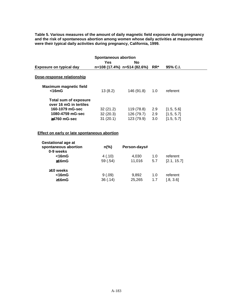**Table 5. Various measures of the amount of daily magnetic field exposure during pregnancy and the risk of spontaneous abortion among women whose daily activities at measurement were their typical daily activities during pregnancy, California, 1999.**

| <b>Spontaneous abortion</b>                            |          |                             |        |            |  |
|--------------------------------------------------------|----------|-----------------------------|--------|------------|--|
|                                                        | Yes      | <b>No</b>                   |        |            |  |
| Exposure on typical day                                |          | n=108 (17.4%) n=514 (82.6%) | $RR^*$ | 95% C.I.   |  |
| Dose-response relationship                             |          |                             |        |            |  |
| <b>Maximum magnetic field</b><br>$<$ 16mG              | 13(8.2)  | 146 (91.8)                  | 1.0    | referent   |  |
| <b>Total sum of exposure</b><br>over 16 mG in tertiles |          |                             |        |            |  |
| 160-1079 mG-sec                                        | 32(21.2) | 119 (78.8)                  | 2.9    | [1.5, 5.6] |  |
| 1080-4759 mG-sec                                       | 32(20.3) | 126 (79.7)                  | 2.9    | [1.5, 5.7] |  |
| $>4760$ mG-sec                                         | 31(20.1) | 123 (79.9)                  | 3.0    | [1.5, 5.7] |  |

# **Effect on early or late spontaneous abortion**

| <b>Gestational age at</b><br>spontaneous abortion<br>0-9 weeks | $n\frac{9}{6}$ | Person-days# |     |             |
|----------------------------------------------------------------|----------------|--------------|-----|-------------|
| $<$ 16mG                                                       | 4(.10)         | 4,030        | 1.0 | referent    |
| $\geq 16 \text{mG}$                                            | 59 (.54)       | 11,016       | 5.7 | [2.1, 15.7] |
| $\geq$ 10 weeks                                                |                |              |     |             |
| $<$ 16mG                                                       | 9(.09)         | 9,892        | 1.0 | referent    |
| ≥16mG                                                          | 36(.14)        | 25,265       | 1.7 | [.8, 3.6]   |
|                                                                |                |              |     |             |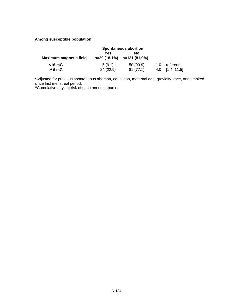# **Among susceptible population**

|                               | <b>Spontaneous abortion</b> |                                      |     |             |
|-------------------------------|-----------------------------|--------------------------------------|-----|-------------|
| <b>Maximum magnetic field</b> | Yes                         | N٥<br>$n=29(18.1\%)$ $n=131(81.9\%)$ |     |             |
| <16 mG                        | 5(9.1)                      | 50(90.9)                             | 1.0 | referent    |
| $\geq 16$ mG                  | 24(22.9)                    | 81(77.1)                             | 4.0 | [1.4, 11.5] |

\*Adjusted for previous spontaneous abortion, education, maternal age, gravidity, race, and smoked since last menstrual period.

#Cumulative days at risk of spontaneous abortion.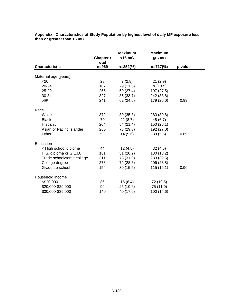| Appendix. Characteristics of Study Population by highest level of daily MF exposure less |  |  |
|------------------------------------------------------------------------------------------|--|--|
| than or greater than 16 mG                                                               |  |  |

|                           | Chapter A         | <b>Maximum</b><br>$<$ 16 mG | <b>Maximum</b><br>$≥16$ mG |         |
|---------------------------|-------------------|-----------------------------|----------------------------|---------|
| <b>Characteristic</b>     | otal<br>$n = 969$ | $n=252\frac{6}{6}$          | $n=717\frac{6}{6}$         | p-value |
| Maternal age (years)      |                   |                             |                            |         |
| $<$ 20                    | 28                | 7(2.8)                      | 21(2.9)                    |         |
| 20-24                     | 107               | 29 (11.5)                   | 78(10.9)                   |         |
| 25-29                     | 266               | 69 (27.4)                   | 197 (27.5)                 |         |
| 30-34                     | 327               | 85 (33.7)                   | 242 (33.8)                 |         |
| $\geq 35$                 | 241               | 62 (24.6)                   | 179 (25.0)                 | 0.99    |
| Race                      |                   |                             |                            |         |
| White                     | 372               | 89 (35.3)                   | 283 (39.8)                 |         |
| <b>Black</b>              | 70                | 22(8.7)                     | 48 (6.7)                   |         |
| Hispanic                  | 204               | 54 (21.4)                   | 150 (20.1)                 |         |
| Asian or Pacific Islander | 265               | 73 (29.0)                   | 192 (27.0)                 |         |
| Other                     | 53                | 14(5.6)                     | 39(5.5)                    | 0.69    |
| Education                 |                   |                             |                            |         |
| < High school diploma     | 44                | 12(4.8)                     | 32(4.5)                    |         |
| H.S. diploma or G.E.D.    | 181               | 51(20.2)                    | 130 (18.2)                 |         |
| Trade school/some college | 311               | 78 (31.0)                   | 233 (32.5)                 |         |
| College degree            | 278               | 72 (28.6)                   | 206 (28.8)                 |         |
| Graduate school           | 154               | 39(15.5)                    | 115(16.1)                  | 0.96    |
| Household income          |                   |                             |                            |         |
| $<$ \$20,000              | 86                | 15(6.4)                     | 72 (10.5)                  |         |
| \$20,000-\$29,000         | 99                | 25(10.6)                    | 75 (11.0)                  |         |
| \$30,000-\$39,000         | 140               | 40 (17.0)                   | 100 (14.6)                 |         |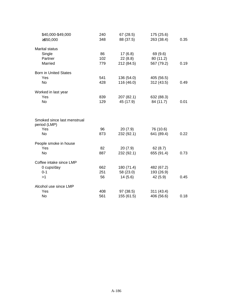| \$40,000-\$49,000                           | 240 | 67(28.5)   | 175 (25.6) |      |
|---------------------------------------------|-----|------------|------------|------|
| ≥\$50,000                                   | 348 | 88 (37.5)  | 263 (38.4) | 0.35 |
| <b>Marital status</b>                       |     |            |            |      |
| Single                                      | 86  | 17(6.8)    | 69 (9.6)   |      |
| Partner                                     | 102 | 22(8.8)    | 80 (11.2)  |      |
| Married                                     | 779 | 212 (84.5) | 567 (79.2) | 0.19 |
| <b>Born in United States</b>                |     |            |            |      |
| Yes                                         | 541 | 136 (54.0) | 405 (56.5) |      |
| <b>No</b>                                   | 428 | 116 (46.0) | 312 (43.5) | 0.49 |
| Worked in last year                         |     |            |            |      |
| Yes                                         | 839 | 207 (82.1) | 632 (88.3) |      |
| <b>No</b>                                   | 129 | 45 (17.9)  | 84 (11.7)  | 0.01 |
| Smoked since last menstrual<br>period (LMP) |     |            |            |      |
| Yes                                         | 96  | 20(7.9)    | 76 (10.6)  |      |
| <b>No</b>                                   | 873 | 232 (92.1) | 641 (89.4) | 0.22 |
| People smoke in house                       |     |            |            |      |
| Yes                                         | 82  | 20(7.9)    | 62(8.7)    |      |
| <b>No</b>                                   | 887 | 232 (92.1) | 655 (91.4) | 0.73 |
| Coffee intake since LMP                     |     |            |            |      |
| 0 cups/day                                  | 662 | 180 (71.4) | 482 (67.2) |      |
| $0 - 1$                                     | 251 | 58 (23.0)  | 193 (26.9) |      |
| >1                                          | 56  | 14(5.6)    | 42 (5.9)   | 0.45 |
| Alcohol use since LMP                       |     |            |            |      |
| Yes                                         | 408 | 97 (38.5)  | 311 (43.4) |      |
| No                                          | 561 | 155 (61.5) | 406 (56.6) | 0.18 |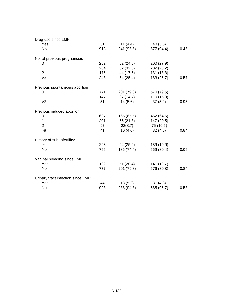| Drug use since LMP                |     |            |            |      |
|-----------------------------------|-----|------------|------------|------|
| Yes                               | 51  | 11 $(4.4)$ | 40(5.6)    |      |
| No                                | 918 | 241 (95.6) | 677 (94.4) | 0.46 |
| No. of previous pregnancies       |     |            |            |      |
| 0                                 | 262 | 62 (24.6)  | 200 (27.9) |      |
| 1                                 | 284 | 82 (32.5)  | 202 (28.2) |      |
| $\overline{2}$                    | 175 | 44 (17.5)  | 131 (18.3) |      |
| $\geq$ 3                          | 248 | 64 (25.4)  | 183 (25.7) | 0.57 |
| Previous spontaneous abortion     |     |            |            |      |
| 0                                 | 771 | 201 (79.8) | 570 (79.5) |      |
| 1                                 | 147 | 37(14.7)   | 110 (15.3) |      |
| $\geq$ 2                          | 51  | 14(5.6)    | 37(5.2)    | 0.95 |
| Previous induced abortion         |     |            |            |      |
| 0                                 | 627 | 165 (65.5) | 462 (64.5) |      |
| 1                                 | 201 | 55(21.8)   | 147 (20.5) |      |
| $\overline{2}$                    | 97  | 22(8.7)    | 75 (10.5)  |      |
| $\geq 3$                          | 41  | 10(4.0)    | 32(4.5)    | 0.84 |
| History of sub-infertility*       |     |            |            |      |
| Yes                               | 203 | 64 (25.6)  | 139 (19.6) |      |
| No                                | 755 | 186 (74.4) | 569 (80.4) | 0.05 |
| Vaginal bleeding since LMP        |     |            |            |      |
| Yes                               | 192 | 51(20.4)   | 141 (19.7) |      |
| <b>No</b>                         | 777 | 201 (79.8) | 576 (80.3) | 0.84 |
| Urinary tract infection since LMP |     |            |            |      |
| Yes                               | 44  | 13(5.2)    | 31(4.3)    |      |
| No                                | 923 | 238 (94.8) | 685 (95.7) | 0.58 |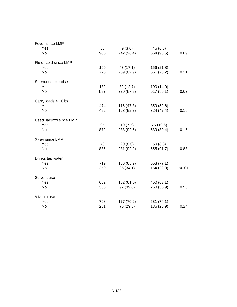| Fever since LMP        |     |            |            |        |
|------------------------|-----|------------|------------|--------|
| Yes                    | 55  | 9(3.6)     | 46 (6.5)   |        |
| No                     | 906 | 242 (96.4) | 664 (93.5) | 0.09   |
| Flu or cold since LMP  |     |            |            |        |
| Yes                    | 199 | 43 (17.1)  | 156 (21.8) |        |
| No                     | 770 | 209 (82.9) | 561 (78.2) | 0.11   |
| Strenuous exercise     |     |            |            |        |
| Yes                    | 132 | 32(12.7)   | 100 (14.0) |        |
| No                     | 837 | 220 (87.3) | 617 (86.1) | 0.62   |
| Carry loads > 10lbs    |     |            |            |        |
| Yes                    | 474 | 115 (47.3) | 359 (52.6) |        |
| <b>No</b>              | 452 | 128 (52.7) | 324 (47.4) | 0.16   |
| Used Jacuzzi since LMP |     |            |            |        |
| Yes                    | 95  | 19 (7.5)   | 76 (10.6)  |        |
| No                     | 872 | 233 (92.5) | 639 (89.4) | 0.16   |
| X-ray since LMP        |     |            |            |        |
| Yes                    | 79  | 20(8.0)    | 59 (8.3)   |        |
| <b>No</b>              | 886 | 231 (92.0) | 655 (91.7) | 0.88   |
| Drinks tap water       |     |            |            |        |
| Yes                    | 719 | 166 (65.9) | 553 (77.1) |        |
| <b>No</b>              | 250 | 86 (34.1)  | 164 (22.9) | < 0.01 |
| Solvent use            |     |            |            |        |
| Yes                    | 602 | 152 (61.0) | 450 (63.1) |        |
| No                     | 360 | 97 (39.0)  | 263 (36.9) | 0.56   |
| Vitamin use            |     |            |            |        |
| Yes                    | 708 | 177 (70.2) | 531 (74.1) |        |
| No                     | 261 | 75 (29.8)  | 186 (25.9) | 0.24   |